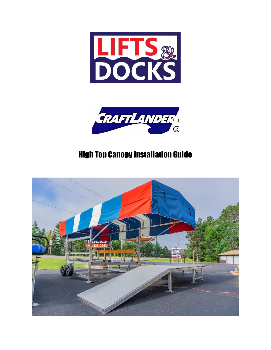



## High Top Canopy Installation Guide

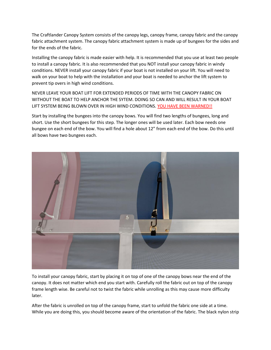The Craftlander Canopy System consists of the canopy legs, canopy frame, canopy fabric and the canopy fabric attachment system. The canopy fabric attachment system is made up of bungees for the sides and for the ends of the fabric.

Installing the canopy fabric is made easier with help. It is recommended that you use at least two people to install a canopy fabric. It is also recommended that you NOT install your canopy fabric in windy conditions. NEVER install your canopy fabric if your boat is not installed on your lift. You will need to walk on your boat to help with the installation and your boat is needed to anchor the lift system to prevent tip overs in high wind conditions.

NEVER LEAVE YOUR BOAT LIFT FOR EXTENDED PERIODS OF TIME WITH THE CANOPY FABRIC ON WITHOUT THE BOAT TO HELP ANCHOR THE SYTEM. DOING SO CAN AND WILL RESULT IN YOUR BOAT LIFT SYSTEM BEING BLOWN OVER IN HIGH WIND CONDITIONS. YOU HAVE BEEN WARNED!!

Start by installing the bungees into the canopy bows. You will find two lengths of bungees, long and short. Use the short bungees for this step. The longer ones will be used later. Each bow needs one bungee on each end of the bow. You will find a hole about 12" from each end of the bow. Do this until all bows have two bungees each.



To install your canopy fabric, start by placing it on top of one of the canopy bows near the end of the canopy. It does not matter which end you start with. Carefully roll the fabric out on top of the canopy frame length wise. Be careful not to twist the fabric while unrolling as this may cause more difficulty later.

After the fabric is unrolled on top of the canopy frame, start to unfold the fabric one side at a time. While you are doing this, you should become aware of the orientation of the fabric. The black nylon strip